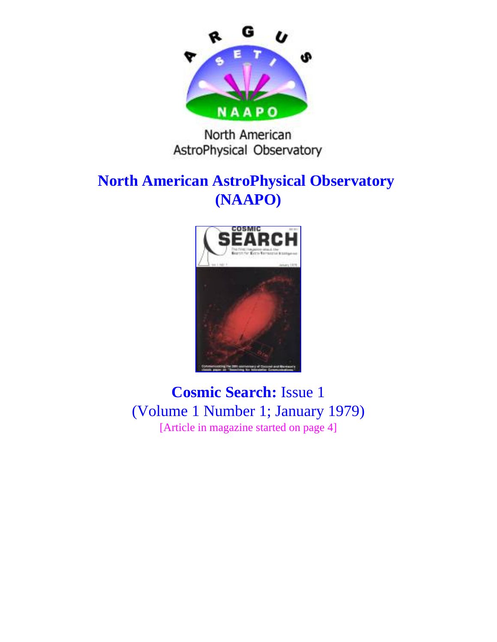

North American AstroPhysical Observatory

## **North American AstroPhysical Observatory (NAAPO)**



**Cosmic Search:** Issue 1 (Volume 1 Number 1; January 1979) [Article in magazine started on page 4]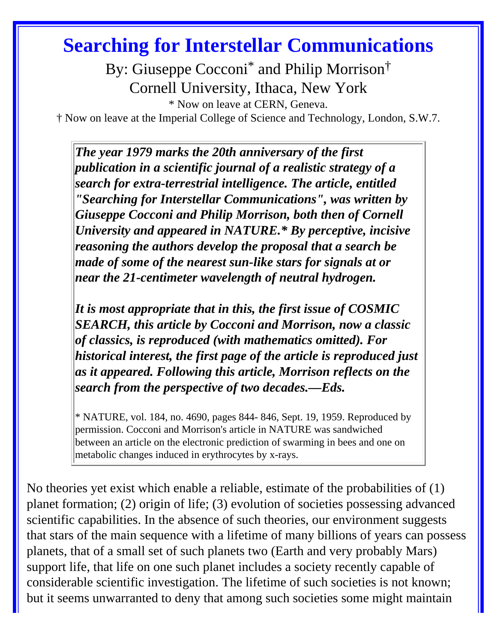# **Searching for Interstellar Communications**

By: Giuseppe Cocconi<sup>\*</sup> and Philip Morrison<sup>†</sup> Cornell University, Ithaca, New York

\* Now on leave at CERN, Geneva.

† Now on leave at the Imperial College of Science and Technology, London, S.W.7.

*The year 1979 marks the 20th anniversary of the first publication in a scientific journal of a realistic strategy of a search for extra-terrestrial intelligence. The article, entitled "Searching for Interstellar Communications", was written by Giuseppe Cocconi and Philip Morrison, both then of Cornell University and appeared in NATURE.\* By perceptive, incisive reasoning the authors develop the proposal that a search be made of some of the nearest sun-like stars for signals at or near the 21-centimeter wavelength of neutral hydrogen.* 

*It is most appropriate that in this, the first issue of COSMIC SEARCH, this article by Cocconi and Morrison, now a classic of classics, is reproduced (with mathematics omitted). For historical interest, the first page of the article is reproduced just as it appeared. Following this article, Morrison reflects on the search from the perspective of two decades.—Eds.*

\* NATURE, vol. 184, no. 4690, pages 844- 846, Sept. 19, 1959. Reproduced by permission. Cocconi and Morrison's article in NATURE was sandwiched between an article on the electronic prediction of swarming in bees and one on metabolic changes induced in erythrocytes by x-rays.

No theories yet exist which enable a reliable, estimate of the probabilities of (1) planet formation; (2) origin of life; (3) evolution of societies possessing advanced scientific capabilities. In the absence of such theories, our environment suggests that stars of the main sequence with a lifetime of many billions of years can possess planets, that of a small set of such planets two (Earth and very probably Mars) support life, that life on one such planet includes a society recently capable of considerable scientific investigation. The lifetime of such societies is not known; but it seems unwarranted to deny that among such societies some might maintain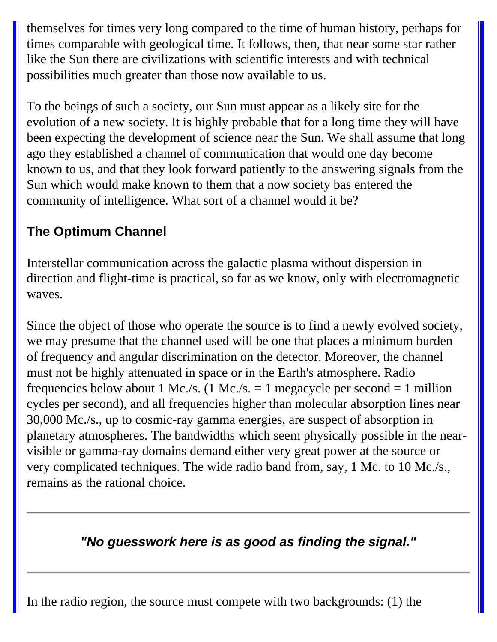themselves for times very long compared to the time of human history, perhaps for times comparable with geological time. It follows, then, that near some star rather like the Sun there are civilizations with scientific interests and with technical possibilities much greater than those now available to us.

To the beings of such a society, our Sun must appear as a likely site for the evolution of a new society. It is highly probable that for a long time they will have been expecting the development of science near the Sun. We shall assume that long ago they established a channel of communication that would one day become known to us, and that they look forward patiently to the answering signals from the Sun which would make known to them that a now society bas entered the community of intelligence. What sort of a channel would it be?

## **The Optimum Channel**

Interstellar communication across the galactic plasma without dispersion in direction and flight-time is practical, so far as we know, only with electromagnetic waves.

Since the object of those who operate the source is to find a newly evolved society, we may presume that the channel used will be one that places a minimum burden of frequency and angular discrimination on the detector. Moreover, the channel must not be highly attenuated in space or in the Earth's atmosphere. Radio frequencies below about 1 Mc./s. (1 Mc./s.  $=$  1 megacycle per second  $=$  1 million cycles per second), and all frequencies higher than molecular absorption lines near 30,000 Mc./s., up to cosmic-ray gamma energies, are suspect of absorption in planetary atmospheres. The bandwidths which seem physically possible in the nearvisible or gamma-ray domains demand either very great power at the source or very complicated techniques. The wide radio band from, say, 1 Mc. to 10 Mc./s., remains as the rational choice.

## **"No guesswork here is as good as finding the signal."**

In the radio region, the source must compete with two backgrounds: (1) the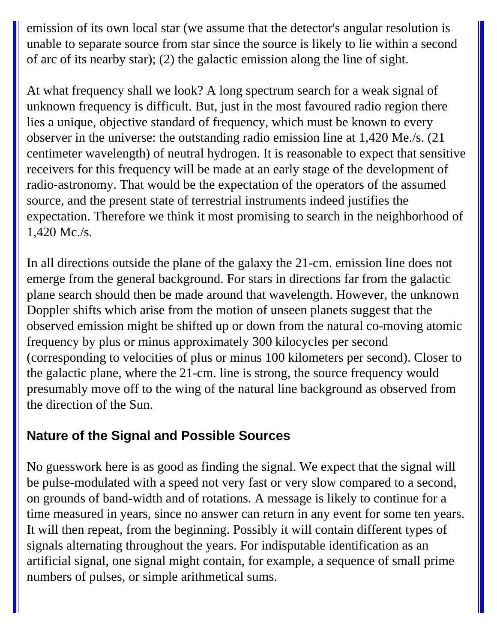emission of its own local star (we assume that the detector's angular resolution is unable to separate source from star since the source is likely to lie within a second of arc of its nearby star); (2) the galactic emission along the line of sight.

At what frequency shall we look? A long spectrum search for a weak signal of unknown frequency is difficult. But, just in the most favoured radio region there lies a unique, objective standard of frequency, which must be known to every observer in the universe: the outstanding radio emission line at 1,420 Me./s. (21 centimeter wavelength) of neutral hydrogen. It is reasonable to expect that sensitive receivers for this frequency will be made at an early stage of the development of radio-astronomy. That would be the expectation of the operators of the assumed source, and the present state of terrestrial instruments indeed justifies the expectation. Therefore we think it most promising to search in the neighborhood of 1,420 Mc./s.

In all directions outside the plane of the galaxy the 21-cm. emission line does not emerge from the general background. For stars in directions far from the galactic plane search should then be made around that wavelength. However, the unknown Doppler shifts which arise from the motion of unseen planets suggest that the observed emission might be shifted up or down from the natural co-moving atomic frequency by plus or minus approximately 300 kilocycles per second (corresponding to velocities of plus or minus 100 kilometers per second). Closer to the galactic plane, where the 21-cm. line is strong, the source frequency would presumably move off to the wing of the natural line background as observed from the direction of the Sun.

#### **Nature of the Signal and Possible Sources**

No guesswork here is as good as finding the signal. We expect that the signal will be pulse-modulated with a speed not very fast or very slow compared to a second, on grounds of band-width and of rotations. A message is likely to continue for a time measured in years, since no answer can return in any event for some ten years. It will then repeat, from the beginning. Possibly it will contain different types of signals alternating throughout the years. For indisputable identification as an artificial signal, one signal might contain, for example, a sequence of small prime numbers of pulses, or simple arithmetical sums.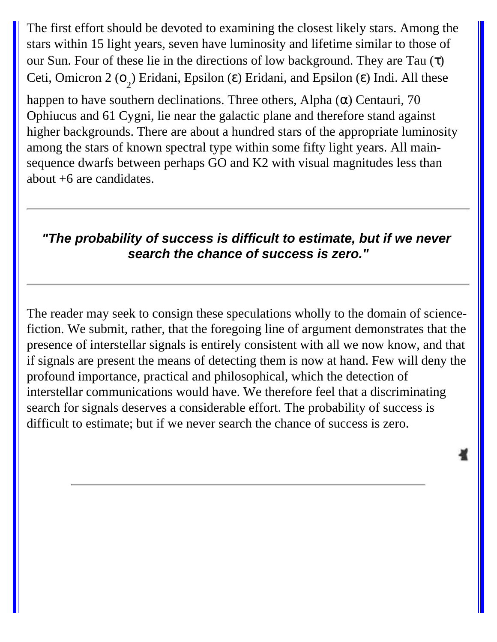The first effort should be devoted to examining the closest likely stars. Among the stars within 15 light years, seven have luminosity and lifetime similar to those of our Sun. Four of these lie in the directions of low background. They are Tau  $(\tau)$ Ceti, Omicron 2 (o<sub>2</sub>) Eridani, Epsilon (ε) Eridani, and Epsilon (ε) Indi. All these

happen to have southern declinations. Three others, Alpha  $(\alpha)$  Centauri, 70 Ophiucus and 61 Cygni, lie near the galactic plane and therefore stand against higher backgrounds. There are about a hundred stars of the appropriate luminosity among the stars of known spectral type within some fifty light years. All mainsequence dwarfs between perhaps GO and K2 with visual magnitudes less than about +6 are candidates.

#### **"The probability of success is difficult to estimate, but if we never search the chance of success is zero."**

The reader may seek to consign these speculations wholly to the domain of sciencefiction. We submit, rather, that the foregoing line of argument demonstrates that the presence of interstellar signals is entirely consistent with all we now know, and that if signals are present the means of detecting them is now at hand. Few will deny the profound importance, practical and philosophical, which the detection of interstellar communications would have. We therefore feel that a discriminating search for signals deserves a considerable effort. The probability of success is difficult to estimate; but if we never search the chance of success is zero.